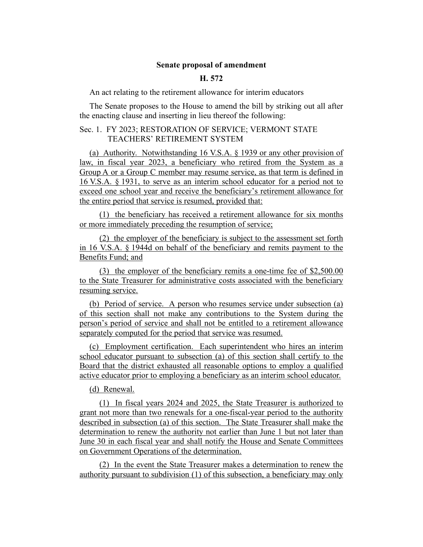## **Senate proposal of amendment**

## **H. 572**

An act relating to the retirement allowance for interim educators

The Senate proposes to the House to amend the bill by striking out all after the enacting clause and inserting in lieu thereof the following:

## Sec. 1. FY 2023; RESTORATION OF SERVICE; VERMONT STATE TEACHERS' RETIREMENT SYSTEM

(a) Authority. Notwithstanding 16 V.S.A. § 1939 or any other provision of law, in fiscal year 2023, a beneficiary who retired from the System as a Group A or a Group C member may resume service, as that term is defined in 16 V.S.A. § 1931, to serve as an interim school educator for a period not to exceed one school year and receive the beneficiary's retirement allowance for the entire period that service is resumed, provided that:

(1) the beneficiary has received a retirement allowance for six months or more immediately preceding the resumption of service;

(2) the employer of the beneficiary is subject to the assessment set forth in 16 V.S.A. § 1944d on behalf of the beneficiary and remits payment to the Benefits Fund; and

(3) the employer of the beneficiary remits a one-time fee of \$2,500.00 to the State Treasurer for administrative costs associated with the beneficiary resuming service.

(b) Period of service. A person who resumes service under subsection (a) of this section shall not make any contributions to the System during the person's period of service and shall not be entitled to a retirement allowance separately computed for the period that service was resumed.

(c) Employment certification. Each superintendent who hires an interim school educator pursuant to subsection (a) of this section shall certify to the Board that the district exhausted all reasonable options to employ a qualified active educator prior to employing a beneficiary as an interim school educator.

(d) Renewal.

(1) In fiscal years 2024 and 2025, the State Treasurer is authorized to grant not more than two renewals for a one-fiscal-year period to the authority described in subsection (a) of this section. The State Treasurer shall make the determination to renew the authority not earlier than June 1 but not later than June 30 in each fiscal year and shall notify the House and Senate Committees on Government Operations of the determination.

(2) In the event the State Treasurer makes a determination to renew the authority pursuant to subdivision (1) of this subsection, a beneficiary may only